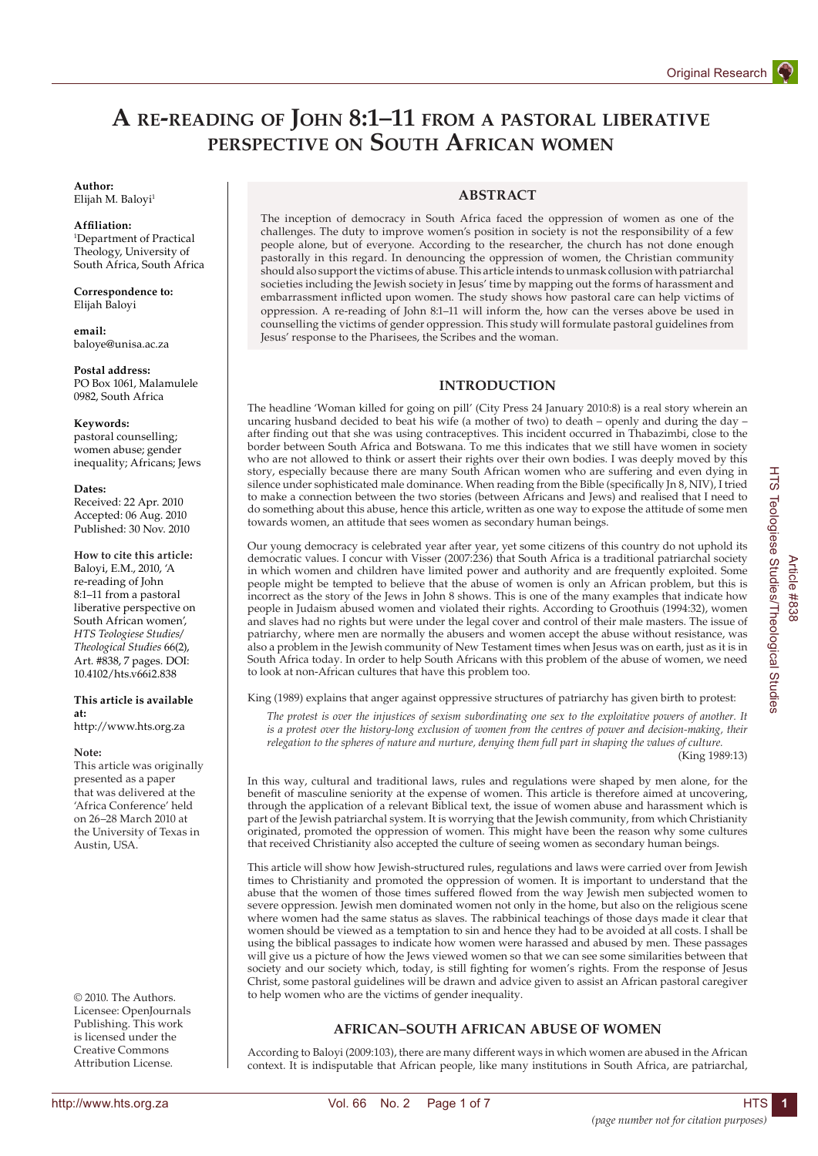# **A re-reading of John 8:1–11 from a pastoral liberative perspective on South African women**

## **Author:**

Elijah M. Baloyi<sup>1</sup>

#### **Affiliation:**

1 Department of Practical Theology, University of South Africa, South Africa

**Correspondence to:** Elijah Baloyi

**email:** baloye@unisa.ac.za

**Postal address:** PO Box 1061, Malamulele 0982, South Africa

#### **Keywords:**

pastoral counselling; women abuse; gender inequality; Africans; Jews

#### **Dates:**

Received: 22 Apr. 2010 Accepted: 06 Aug. 2010 Published: 30 Nov. 2010

#### **How to cite this article:** Baloyi, E.M., 2010, 'A re-reading of John 8:1–11 from a pastoral liberative perspective on South African women', *HTS Teologiese Studies/ Theological Studies* 66(2),

**This article is available at:**

Art. #838, 7 pages. DOI: 10.4102/hts.v66i2.838

http://www.hts.org.za

#### **Note:**

This article was originally presented as a paper that was delivered at the 'Africa Conference' held on 26–28 March 2010 at the University of Texas in Austin, USA.

© 2010. The Authors. Licensee: OpenJournals Publishing. This work is licensed under the Creative Commons Attribution License.

### **ABSTRACT**

The inception of democracy in South Africa faced the oppression of women as one of the challenges. The duty to improve women's position in society is not the responsibility of a few people alone, but of everyone. According to the researcher, the church has not done enough pastorally in this regard. In denouncing the oppression of women, the Christian community should also support the victims of abuse. This article intends to unmask collusion with patriarchal societies including the Jewish society in Jesus' time by mapping out the forms of harassment and embarrassment inflicted upon women. The study shows how pastoral care can help victims of oppression. A re-reading of John 8:1–11 will inform the, how can the verses above be used in counselling the victims of gender oppression. This study will formulate pastoral guidelines from Jesus' response to the Pharisees, the Scribes and the woman.

## **INTRODUCTION**

The headline 'Woman killed for going on pill' (City Press 24 January 2010:8) is a real story wherein an uncaring husband decided to beat his wife (a mother of two) to death – openly and during the day – after finding out that she was using contraceptives. This incident occurred in Thabazimbi, close to the border between South Africa and Botswana. To me this indicates that we still have women in society who are not allowed to think or assert their rights over their own bodies. I was deeply moved by this story, especially because there are many South African women who are suffering and even dying in silence under sophisticated male dominance. When reading from the Bible (specifically Jn 8, NIV), I tried to make a connection between the two stories (between Africans and Jews) and realised that I need to do something about this abuse, hence this article, written as one way to expose the attitude of some men towards women, an attitude that sees women as secondary human beings.

Our young democracy is celebrated year after year, yet some citizens of this country do not uphold its democratic values. I concur with Visser (2007:236) that South Africa is a traditional patriarchal society in which women and children have limited power and authority and are frequently exploited. Some people might be tempted to believe that the abuse of women is only an African problem, but this is incorrect as the story of the Jews in John 8 shows. This is one of the many examples that indicate how people in Judaism abused women and violated their rights. According to Groothuis (1994:32), women and slaves had no rights but were under the legal cover and control of their male masters. The issue of patriarchy, where men are normally the abusers and women accept the abuse without resistance, was also a problem in the Jewish community of New Testament times when Jesus was on earth, just as it is in South Africa today. In order to help South Africans with this problem of the abuse of women, we need to look at non-African cultures that have this problem too.

King (1989) explains that anger against oppressive structures of patriarchy has given birth to protest:

*The protest is over the injustices of sexism subordinating one sex to the exploitative powers of another. It is a protest over the history-long exclusion of women from the centres of power and decision-making, their relegation to the spheres of nature and nurture, denying them full part in shaping the values of culture.*

(King 1989:13)

In this way, cultural and traditional laws, rules and regulations were shaped by men alone, for the benefit of masculine seniority at the expense of women. This article is therefore aimed at uncovering, through the application of a relevant Biblical text, the issue of women abuse and harassment which is part of the Jewish patriarchal system. It is worrying that the Jewish community, from which Christianity originated, promoted the oppression of women. This might have been the reason why some cultures that received Christianity also accepted the culture of seeing women as secondary human beings.

This article will show how Jewish-structured rules, regulations and laws were carried over from Jewish times to Christianity and promoted the oppression of women. It is important to understand that the abuse that the women of those times suffered flowed from the way Jewish men subjected women to severe oppression. Jewish men dominated women not only in the home, but also on the religious scene where women had the same status as slaves. The rabbinical teachings of those days made it clear that women should be viewed as a temptation to sin and hence they had to be avoided at all costs. I shall be using the biblical passages to indicate how women were harassed and abused by men. These passages will give us a picture of how the Jews viewed women so that we can see some similarities between that society and our society which, today, is still fighting for women's rights. From the response of Jesus Christ, some pastoral guidelines will be drawn and advice given to assist an African pastoral caregiver to help women who are the victims of gender inequality.

## **AFRICAN–SOUTH AFRICAN ABUSE OF WOMEN**

According to Baloyi (2009:103), there are many different ways in which women are abused in the African context. It is indisputable that African people, like many institutions in South Africa, are patriarchal,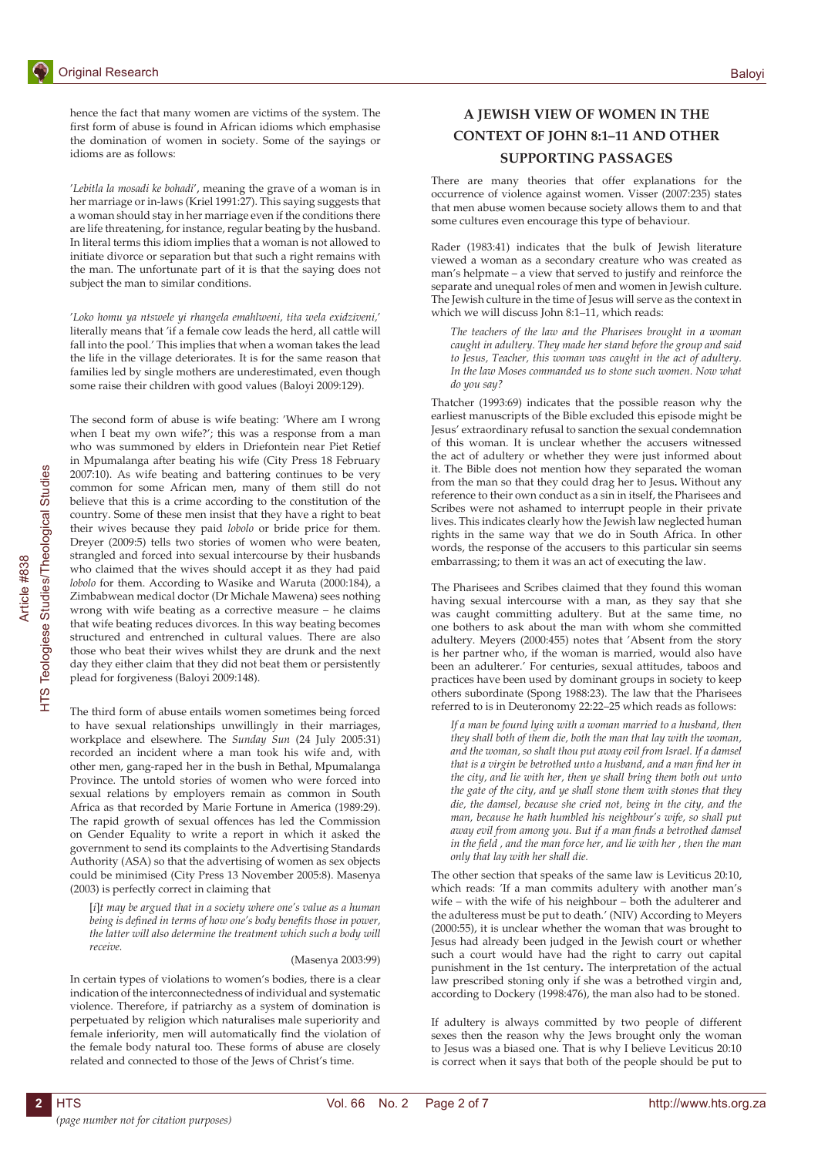hence the fact that many women are victims of the system. The first form of abuse is found in African idioms which emphasise the domination of women in society. Some of the sayings or idioms are as follows:

'*Lebitla la mosadi ke bohadi*', meaning the grave of a woman is in her marriage or in-laws (Kriel 1991:27). This saying suggests that a woman should stay in her marriage even if the conditions there are life threatening, for instance, regular beating by the husband. In literal terms this idiom implies that a woman is not allowed to initiate divorce or separation but that such a right remains with the man. The unfortunate part of it is that the saying does not subject the man to similar conditions.

'*Loko homu ya ntswele yi rhangela emahlweni, tita wela exidziveni,*' literally means that 'if a female cow leads the herd, all cattle will fall into the pool.' This implies that when a woman takes the lead the life in the village deteriorates. It is for the same reason that families led by single mothers are underestimated, even though some raise their children with good values (Baloyi 2009:129).

The second form of abuse is wife beating: 'Where am I wrong when I beat my own wife?'; this was a response from a man who was summoned by elders in Driefontein near Piet Retief in Mpumalanga after beating his wife (City Press 18 February 2007:10). As wife beating and battering continues to be very common for some African men, many of them still do not believe that this is a crime according to the constitution of the country. Some of these men insist that they have a right to beat their wives because they paid *lobolo* or bride price for them. Dreyer (2009:5) tells two stories of women who were beaten, strangled and forced into sexual intercourse by their husbands who claimed that the wives should accept it as they had paid *lobolo* for them. According to Wasike and Waruta (2000:184), a Zimbabwean medical doctor (Dr Michale Mawena) sees nothing wrong with wife beating as a corrective measure – he claims that wife beating reduces divorces. In this way beating becomes structured and entrenched in cultural values. There are also those who beat their wives whilst they are drunk and the next day they either claim that they did not beat them or persistently plead for forgiveness (Baloyi 2009:148).

The third form of abuse entails women sometimes being forced to have sexual relationships unwillingly in their marriages, workplace and elsewhere. The *Sunday Sun* (24 July 2005:31) recorded an incident where a man took his wife and, with other men, gang-raped her in the bush in Bethal, Mpumalanga Province. The untold stories of women who were forced into sexual relations by employers remain as common in South Africa as that recorded by Marie Fortune in America (1989:29). The rapid growth of sexual offences has led the Commission on Gender Equality to write a report in which it asked the government to send its complaints to the Advertising Standards Authority (ASA) so that the advertising of women as sex objects could be minimised (City Press 13 November 2005:8). Masenya (2003) is perfectly correct in claiming that

[*i*]*t may be argued that in a society where one's value as a human being is defined in terms of how one's body benefits those in power, the latter will also determine the treatment which such a body will receive.*

## (Masenya 2003:99)

In certain types of violations to women's bodies, there is a clear indication of the interconnectedness of individual and systematic violence. Therefore, if patriarchy as a system of domination is perpetuated by religion which naturalises male superiority and female inferiority, men will automatically find the violation of the female body natural too. These forms of abuse are closely related and connected to those of the Jews of Christ's time.

## **A JEWISH VIEW OF WOMEN IN THE CONTEXT OF JOHN 8:1–11 AND OTHER SUPPORTING PASSAGES**

There are many theories that offer explanations for the occurrence of violence against women. Visser (2007:235) states that men abuse women because society allows them to and that some cultures even encourage this type of behaviour.

Rader (1983:41) indicates that the bulk of Jewish literature viewed a woman as a secondary creature who was created as man's helpmate – a view that served to justify and reinforce the separate and unequal roles of men and women in Jewish culture. The Jewish culture in the time of Jesus will serve as the context in which we will discuss John 8:1–11, which reads:

*The teachers of the law and the Pharisees brought in a woman caught in adultery. They made her stand before the group and said to Jesus, Teacher, this woman was caught in the act of adultery. In the law Moses commanded us to stone such women. Now what do you say?*

Thatcher (1993:69) indicates that the possible reason why the earliest manuscripts of the Bible excluded this episode might be Jesus' extraordinary refusal to sanction the sexual condemnation of this woman. It is unclear whether the accusers witnessed the act of adultery or whether they were just informed about it. The Bible does not mention how they separated the woman from the man so that they could drag her to Jesus**.** Without any reference to their own conduct as a sin in itself, the Pharisees and Scribes were not ashamed to interrupt people in their private lives. This indicates clearly how the Jewish law neglected human rights in the same way that we do in South Africa. In other words, the response of the accusers to this particular sin seems embarrassing; to them it was an act of executing the law.

The Pharisees and Scribes claimed that they found this woman having sexual intercourse with a man, as they say that she was caught committing adultery. But at the same time, no one bothers to ask about the man with whom she committed adultery. Meyers (2000:455) notes that 'Absent from the story is her partner who, if the woman is married, would also have been an adulterer.' For centuries, sexual attitudes, taboos and practices have been used by dominant groups in society to keep others subordinate (Spong 1988:23). The law that the Pharisees referred to is in Deuteronomy 22:22–25 which reads as follows:

*If a man be found lying with a woman married to a husband, then they shall both of them die, both the man that lay with the woman, and the woman, so shalt thou put away evil from Israel. If a damsel that is a virgin be betrothed unto a husband, and a man find her in the city, and lie with her, then ye shall bring them both out unto the gate of the city, and ye shall stone them with stones that they die, the damsel, because she cried not, being in the city, and the man, because he hath humbled his neighbour's wife, so shall put away evil from among you. But if a man finds a betrothed damsel in the field , and the man force her, and lie with her , then the man only that lay with her shall die.*

The other section that speaks of the same law is Leviticus 20:10, which reads: 'If a man commits adultery with another man's wife – with the wife of his neighbour – both the adulterer and the adulteress must be put to death.' (NIV) According to Meyers (2000:55), it is unclear whether the woman that was brought to Jesus had already been judged in the Jewish court or whether such a court would have had the right to carry out capital punishment in the 1st century**.** The interpretation of the actual law prescribed stoning only if she was a betrothed virgin and, according to Dockery (1998:476), the man also had to be stoned.

If adultery is always committed by two people of different sexes then the reason why the Jews brought only the woman to Jesus was a biased one. That is why I believe Leviticus 20:10 is correct when it says that both of the people should be put to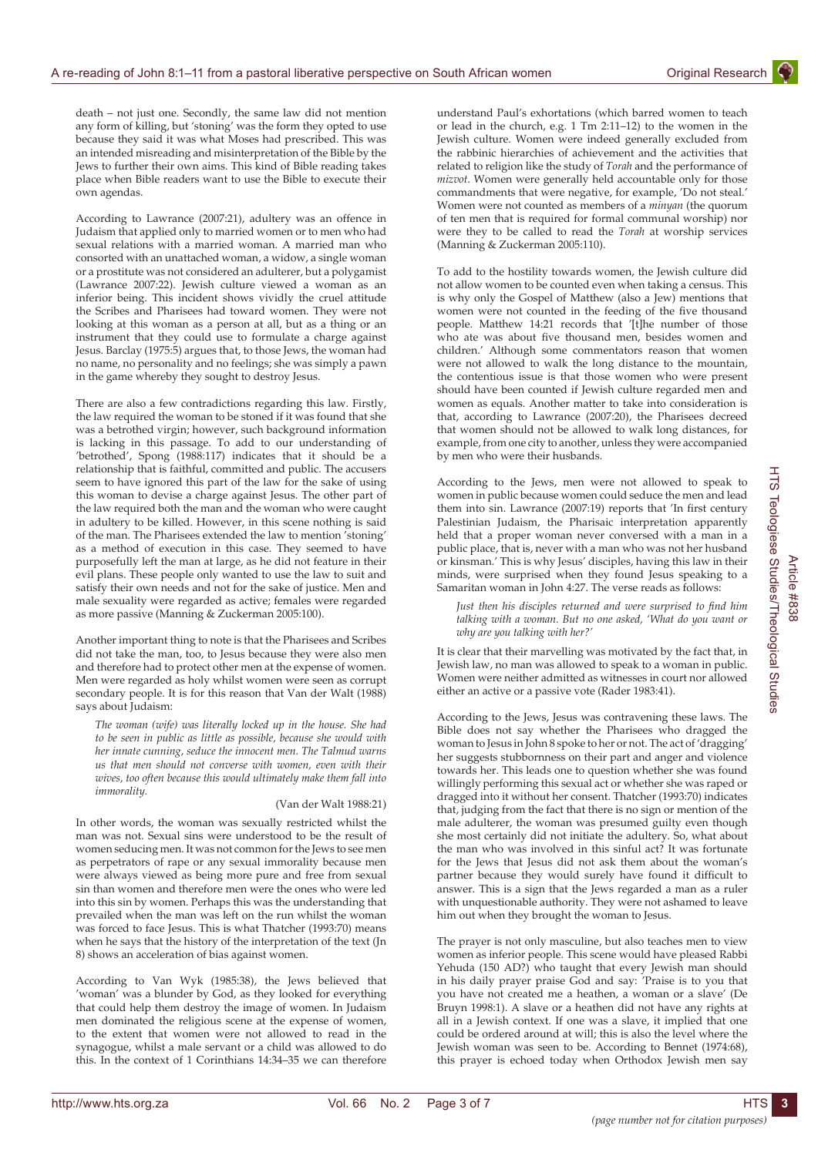death – not just one. Secondly, the same law did not mention any form of killing, but 'stoning' was the form they opted to use because they said it was what Moses had prescribed. This was an intended misreading and misinterpretation of the Bible by the Jews to further their own aims. This kind of Bible reading takes place when Bible readers want to use the Bible to execute their own agendas.

According to Lawrance (2007:21), adultery was an offence in Judaism that applied only to married women or to men who had sexual relations with a married woman. A married man who consorted with an unattached woman, a widow, a single woman or a prostitute was not considered an adulterer, but a polygamist (Lawrance 2007:22). Jewish culture viewed a woman as an inferior being. This incident shows vividly the cruel attitude the Scribes and Pharisees had toward women. They were not looking at this woman as a person at all, but as a thing or an instrument that they could use to formulate a charge against Jesus. Barclay (1975:5) argues that, to those Jews, the woman had no name, no personality and no feelings; she was simply a pawn in the game whereby they sought to destroy Jesus.

There are also a few contradictions regarding this law. Firstly, the law required the woman to be stoned if it was found that she was a betrothed virgin; however, such background information is lacking in this passage. To add to our understanding of 'betrothed', Spong (1988:117) indicates that it should be a relationship that is faithful, committed and public. The accusers seem to have ignored this part of the law for the sake of using this woman to devise a charge against Jesus. The other part of the law required both the man and the woman who were caught in adultery to be killed. However, in this scene nothing is said of the man. The Pharisees extended the law to mention 'stoning' as a method of execution in this case. They seemed to have purposefully left the man at large, as he did not feature in their evil plans. These people only wanted to use the law to suit and satisfy their own needs and not for the sake of justice. Men and male sexuality were regarded as active; females were regarded as more passive (Manning & Zuckerman 2005:100).

Another important thing to note is that the Pharisees and Scribes did not take the man, too, to Jesus because they were also men and therefore had to protect other men at the expense of women. Men were regarded as holy whilst women were seen as corrupt secondary people. It is for this reason that Van der Walt (1988) says about Judaism:

*The woman (wife) was literally locked up in the house. She had to be seen in public as little as possible, because she would with her innate cunning, seduce the innocent men. The Talmud warns us that men should not converse with women, even with their wives, too often because this would ultimately make them fall into immorality.*

#### (Van der Walt 1988:21)

In other words, the woman was sexually restricted whilst the man was not. Sexual sins were understood to be the result of women seducing men. It was not common for the Jews to see men as perpetrators of rape or any sexual immorality because men were always viewed as being more pure and free from sexual sin than women and therefore men were the ones who were led into this sin by women. Perhaps this was the understanding that prevailed when the man was left on the run whilst the woman was forced to face Jesus. This is what Thatcher (1993:70) means when he says that the history of the interpretation of the text (Jn 8) shows an acceleration of bias against women.

According to Van Wyk (1985:38), the Jews believed that 'woman' was a blunder by God, as they looked for everything that could help them destroy the image of women. In Judaism men dominated the religious scene at the expense of women, to the extent that women were not allowed to read in the synagogue, whilst a male servant or a child was allowed to do this. In the context of 1 Corinthians 14:34–35 we can therefore understand Paul's exhortations (which barred women to teach or lead in the church, e.g. 1 Tm 2:11–12) to the women in the Jewish culture. Women were indeed generally excluded from the rabbinic hierarchies of achievement and the activities that related to religion like the study of *Torah* and the performance of *mizvot*. Women were generally held accountable only for those commandments that were negative, for example, 'Do not steal.' Women were not counted as members of a *minyan* (the quorum of ten men that is required for formal communal worship) nor were they to be called to read the *Torah* at worship services (Manning & Zuckerman 2005:110).

To add to the hostility towards women, the Jewish culture did not allow women to be counted even when taking a census. This is why only the Gospel of Matthew (also a Jew) mentions that women were not counted in the feeding of the five thousand people. Matthew 14:21 records that '[t]he number of those who ate was about five thousand men, besides women and children.' Although some commentators reason that women were not allowed to walk the long distance to the mountain, the contentious issue is that those women who were present should have been counted if Jewish culture regarded men and women as equals. Another matter to take into consideration is that, according to Lawrance (2007:20), the Pharisees decreed that women should not be allowed to walk long distances, for example, from one city to another, unless they were accompanied by men who were their husbands.

According to the Jews, men were not allowed to speak to women in public because women could seduce the men and lead them into sin. Lawrance (2007:19) reports that 'In first century Palestinian Judaism, the Pharisaic interpretation apparently held that a proper woman never conversed with a man in a public place, that is, never with a man who was not her husband or kinsman.' This is why Jesus' disciples, having this law in their minds, were surprised when they found Jesus speaking to a Samaritan woman in John 4:27. The verse reads as follows:

*Just then his disciples returned and were surprised to find him talking with a woman. But no one asked, 'What do you want or why are you talking with her?'*

It is clear that their marvelling was motivated by the fact that, in Jewish law, no man was allowed to speak to a woman in public. Women were neither admitted as witnesses in court nor allowed either an active or a passive vote (Rader 1983:41).

According to the Jews, Jesus was contravening these laws. The Bible does not say whether the Pharisees who dragged the woman to Jesus in John 8 spoke to her or not. The act of 'dragging' her suggests stubbornness on their part and anger and violence towards her. This leads one to question whether she was found willingly performing this sexual act or whether she was raped or dragged into it without her consent. Thatcher (1993:70) indicates that, judging from the fact that there is no sign or mention of the male adulterer, the woman was presumed guilty even though she most certainly did not initiate the adultery. So, what about the man who was involved in this sinful act? It was fortunate for the Jews that Jesus did not ask them about the woman's partner because they would surely have found it difficult to answer. This is a sign that the Jews regarded a man as a ruler with unquestionable authority. They were not ashamed to leave him out when they brought the woman to Jesus.

The prayer is not only masculine, but also teaches men to view women as inferior people. This scene would have pleased Rabbi Yehuda (150 AD?) who taught that every Jewish man should in his daily prayer praise God and say: 'Praise is to you that you have not created me a heathen, a woman or a slave' (De Bruyn 1998:1). A slave or a heathen did not have any rights at all in a Jewish context. If one was a slave, it implied that one could be ordered around at will; this is also the level where the Jewish woman was seen to be. According to Bennet (1974:68), this prayer is echoed today when Orthodox Jewish men say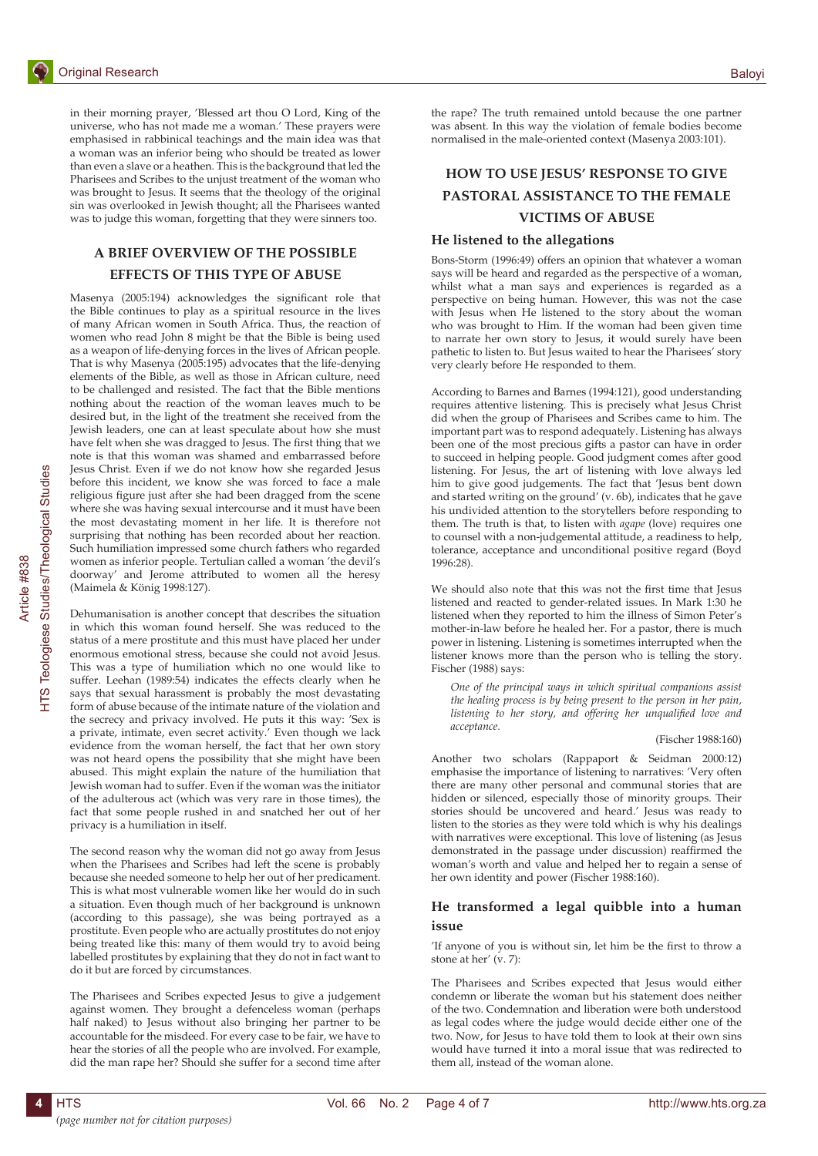

in their morning prayer, 'Blessed art thou O Lord, King of the universe, who has not made me a woman.' These prayers were emphasised in rabbinical teachings and the main idea was that a woman was an inferior being who should be treated as lower than even a slave or a heathen. This is the background that led the Pharisees and Scribes to the unjust treatment of the woman who was brought to Jesus. It seems that the theology of the original sin was overlooked in Jewish thought; all the Pharisees wanted was to judge this woman, forgetting that they were sinners too.

## **A BRIEF OVERVIEW OF THE POSSIBLE**

## **EFFECTS OF THIS TYPE OF ABUSE**

Masenya (2005:194) acknowledges the significant role that the Bible continues to play as a spiritual resource in the lives of many African women in South Africa. Thus, the reaction of women who read John 8 might be that the Bible is being used as a weapon of life-denying forces in the lives of African people. That is why Masenya (2005:195) advocates that the life-denying elements of the Bible, as well as those in African culture, need to be challenged and resisted. The fact that the Bible mentions nothing about the reaction of the woman leaves much to be desired but, in the light of the treatment she received from the Jewish leaders, one can at least speculate about how she must have felt when she was dragged to Jesus. The first thing that we note is that this woman was shamed and embarrassed before Jesus Christ. Even if we do not know how she regarded Jesus before this incident, we know she was forced to face a male religious figure just after she had been dragged from the scene where she was having sexual intercourse and it must have been the most devastating moment in her life. It is therefore not surprising that nothing has been recorded about her reaction. Such humiliation impressed some church fathers who regarded women as inferior people. Tertulian called a woman 'the devil's doorway' and Jerome attributed to women all the heresy (Maimela & König 1998:127).

Dehumanisation is another concept that describes the situation in which this woman found herself. She was reduced to the status of a mere prostitute and this must have placed her under enormous emotional stress, because she could not avoid Jesus. This was a type of humiliation which no one would like to suffer. Leehan (1989:54) indicates the effects clearly when he says that sexual harassment is probably the most devastating form of abuse because of the intimate nature of the violation and the secrecy and privacy involved. He puts it this way: 'Sex is a private, intimate, even secret activity.' Even though we lack evidence from the woman herself, the fact that her own story was not heard opens the possibility that she might have been abused. This might explain the nature of the humiliation that Jewish woman had to suffer. Even if the woman was the initiator of the adulterous act (which was very rare in those times), the fact that some people rushed in and snatched her out of her privacy is a humiliation in itself.

The second reason why the woman did not go away from Jesus when the Pharisees and Scribes had left the scene is probably because she needed someone to help her out of her predicament. This is what most vulnerable women like her would do in such a situation. Even though much of her background is unknown (according to this passage), she was being portrayed as a prostitute. Even people who are actually prostitutes do not enjoy being treated like this: many of them would try to avoid being labelled prostitutes by explaining that they do not in fact want to do it but are forced by circumstances.

The Pharisees and Scribes expected Jesus to give a judgement against women. They brought a defenceless woman (perhaps half naked) to Jesus without also bringing her partner to be accountable for the misdeed. For every case to be fair, we have to hear the stories of all the people who are involved. For example, did the man rape her? Should she suffer for a second time after

the rape? The truth remained untold because the one partner was absent. In this way the violation of female bodies become normalised in the male-oriented context (Masenya 2003:101).

## **HOW TO USE JESUS' RESPONSE TO GIVE PASTORAL ASSISTANCE TO THE FEMALE VICTIMS OF ABUSE**

### **He listened to the allegations**

Bons-Storm (1996:49) offers an opinion that whatever a woman says will be heard and regarded as the perspective of a woman, whilst what a man says and experiences is regarded as a perspective on being human. However, this was not the case with Jesus when He listened to the story about the woman who was brought to Him. If the woman had been given time to narrate her own story to Jesus, it would surely have been pathetic to listen to. But Jesus waited to hear the Pharisees' story very clearly before He responded to them.

According to Barnes and Barnes (1994:121), good understanding requires attentive listening. This is precisely what Jesus Christ did when the group of Pharisees and Scribes came to him. The important part was to respond adequately. Listening has always been one of the most precious gifts a pastor can have in order to succeed in helping people. Good judgment comes after good listening. For Jesus, the art of listening with love always led him to give good judgements. The fact that 'Jesus bent down and started writing on the ground' (v. 6b), indicates that he gave his undivided attention to the storytellers before responding to them. The truth is that, to listen with *agape* (love) requires one to counsel with a non-judgemental attitude, a readiness to help, tolerance, acceptance and unconditional positive regard (Boyd 1996:28).

We should also note that this was not the first time that Jesus listened and reacted to gender-related issues. In Mark 1:30 he listened when they reported to him the illness of Simon Peter's mother-in-law before he healed her. For a pastor, there is much power in listening. Listening is sometimes interrupted when the listener knows more than the person who is telling the story. Fischer (1988) says:

*One of the principal ways in which spiritual companions assist the healing process is by being present to the person in her pain, listening to her story, and offering her unqualified love and acceptance.*

#### (Fischer 1988:160)

Another two scholars (Rappaport & Seidman 2000:12) emphasise the importance of listening to narratives: 'Very often there are many other personal and communal stories that are hidden or silenced, especially those of minority groups. Their stories should be uncovered and heard.' Jesus was ready to listen to the stories as they were told which is why his dealings with narratives were exceptional. This love of listening (as Jesus demonstrated in the passage under discussion) reaffirmed the woman's worth and value and helped her to regain a sense of her own identity and power (Fischer 1988:160).

## **He transformed a legal quibble into a human issue**

'If anyone of you is without sin, let him be the first to throw a stone at her' (v. 7):

The Pharisees and Scribes expected that Jesus would either condemn or liberate the woman but his statement does neither of the two. Condemnation and liberation were both understood as legal codes where the judge would decide either one of the two. Now, for Jesus to have told them to look at their own sins would have turned it into a moral issue that was redirected to them all, instead of the woman alone.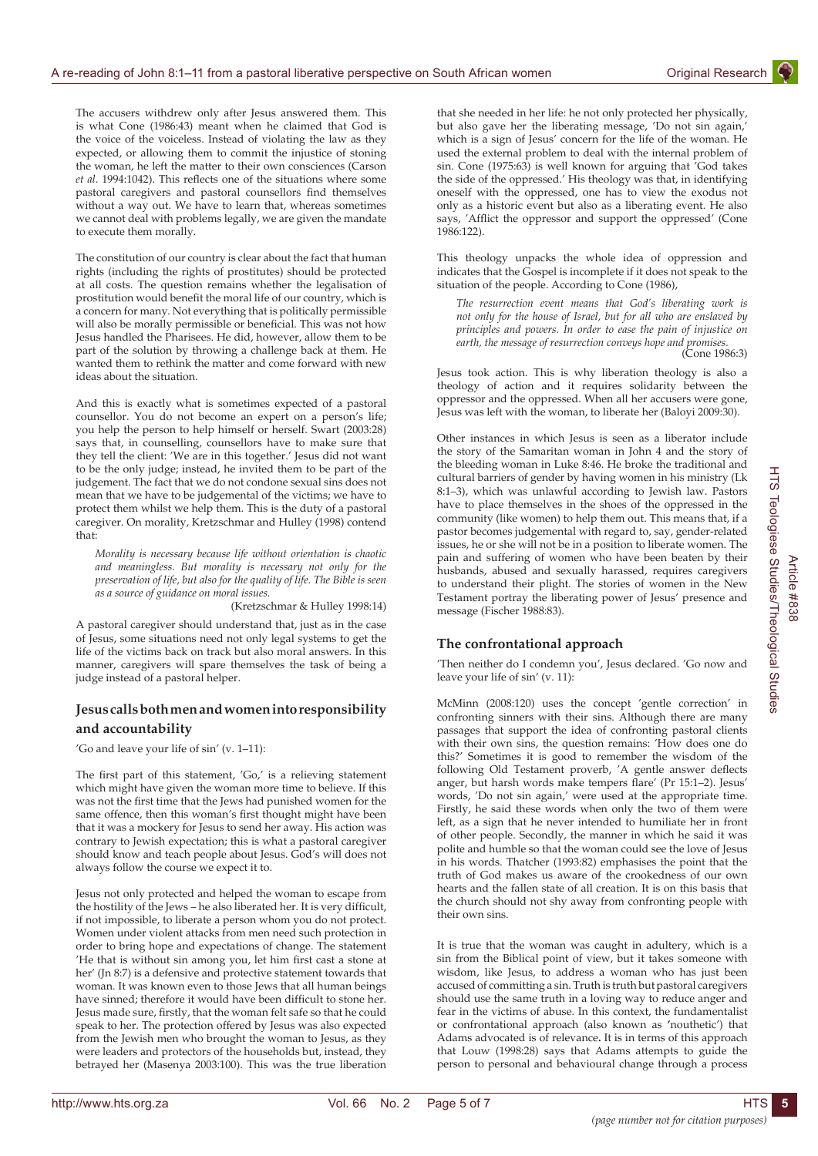The accusers withdrew only after Jesus answered them. This is what Cone (1986:43) meant when he claimed that God is the voice of the voiceless. Instead of violating the law as they expected, or allowing them to commit the injustice of stoning the woman, he left the matter to their own consciences (Carson *et al*. 1994:1042). This reflects one of the situations where some pastoral caregivers and pastoral counsellors find themselves without a way out. We have to learn that, whereas sometimes we cannot deal with problems legally, we are given the mandate to execute them morally.

The constitution of our country is clear about the fact that human rights (including the rights of prostitutes) should be protected at all costs. The question remains whether the legalisation of prostitution would benefit the moral life of our country, which is a concern for many. Not everything that is politically permissible will also be morally permissible or beneficial. This was not how Jesus handled the Pharisees. He did, however, allow them to be part of the solution by throwing a challenge back at them. He wanted them to rethink the matter and come forward with new ideas about the situation.

And this is exactly what is sometimes expected of a pastoral counsellor. You do not become an expert on a person's life; you help the person to help himself or herself. Swart (2003:28) says that, in counselling, counsellors have to make sure that they tell the client: 'We are in this together.' Jesus did not want to be the only judge; instead, he invited them to be part of the judgement. The fact that we do not condone sexual sins does not mean that we have to be judgemental of the victims; we have to protect them whilst we help them. This is the duty of a pastoral caregiver. On morality, Kretzschmar and Hulley (1998) contend that:

*Morality is necessary because life without orientation is chaotic and meaningless. But morality is necessary not only for the preservation of life, but also for the quality of life. The Bible is seen as a source of guidance on moral issues.*

(Kretzschmar & Hulley 1998:14)

A pastoral caregiver should understand that, just as in the case of Jesus, some situations need not only legal systems to get the life of the victims back on track but also moral answers. In this manner, caregivers will spare themselves the task of being a judge instead of a pastoral helper.

## **Jesus calls both men and women into responsibility and accountability**

'Go and leave your life of sin' (v. 1–11):

The first part of this statement, 'Go,' is a relieving statement which might have given the woman more time to believe. If this was not the first time that the Jews had punished women for the same offence, then this woman's first thought might have been that it was a mockery for Jesus to send her away. His action was contrary to Jewish expectation; this is what a pastoral caregiver should know and teach people about Jesus. God's will does not always follow the course we expect it to.

Jesus not only protected and helped the woman to escape from the hostility of the Jews – he also liberated her. It is very difficult, if not impossible, to liberate a person whom you do not protect. Women under violent attacks from men need such protection in order to bring hope and expectations of change. The statement 'He that is without sin among you, let him first cast a stone at her' (Jn 8:7) is a defensive and protective statement towards that woman. It was known even to those Jews that all human beings have sinned; therefore it would have been difficult to stone her. Jesus made sure, firstly, that the woman felt safe so that he could speak to her. The protection offered by Jesus was also expected from the Jewish men who brought the woman to Jesus, as they were leaders and protectors of the households but, instead, they betrayed her (Masenya 2003:100). This was the true liberation

that she needed in her life: he not only protected her physically, but also gave her the liberating message, 'Do not sin again,' which is a sign of Jesus' concern for the life of the woman. He used the external problem to deal with the internal problem of sin. Cone (1975:63) is well known for arguing that 'God takes the side of the oppressed.' His theology was that, in identifying oneself with the oppressed, one has to view the exodus not only as a historic event but also as a liberating event. He also says, 'Afflict the oppressor and support the oppressed' (Cone 1986:122).

This theology unpacks the whole idea of oppression and indicates that the Gospel is incomplete if it does not speak to the situation of the people. According to Cone (1986),

*The resurrection event means that God's liberating work is not only for the house of Israel, but for all who are enslaved by principles and powers. In order to ease the pain of injustice on earth, the message of resurrection conveys hope and promises.*  (Cone 1986:3)

Jesus took action. This is why liberation theology is also a theology of action and it requires solidarity between the oppressor and the oppressed. When all her accusers were gone, Jesus was left with the woman, to liberate her (Baloyi 2009:30).

Other instances in which Jesus is seen as a liberator include the story of the Samaritan woman in John 4 and the story of the bleeding woman in Luke 8:46. He broke the traditional and cultural barriers of gender by having women in his ministry (Lk 8:1–3), which was unlawful according to Jewish law. Pastors have to place themselves in the shoes of the oppressed in the community (like women) to help them out. This means that, if a pastor becomes judgemental with regard to, say, gender-related issues, he or she will not be in a position to liberate women. The pain and suffering of women who have been beaten by their husbands, abused and sexually harassed, requires caregivers to understand their plight. The stories of women in the New Testament portray the liberating power of Jesus' presence and message (Fischer 1988:83).

## **The confrontational approach**

'Then neither do I condemn you', Jesus declared. 'Go now and leave your life of sin' (v. 11):

McMinn (2008:120) uses the concept 'gentle correction' in confronting sinners with their sins. Although there are many passages that support the idea of confronting pastoral clients with their own sins, the question remains: 'How does one do this?' Sometimes it is good to remember the wisdom of the following Old Testament proverb, 'A gentle answer deflects anger, but harsh words make tempers flare' (Pr 15:1–2). Jesus' words, 'Do not sin again,' were used at the appropriate time. Firstly, he said these words when only the two of them were left, as a sign that he never intended to humiliate her in front of other people. Secondly, the manner in which he said it was polite and humble so that the woman could see the love of Jesus in his words. Thatcher (1993:82) emphasises the point that the truth of God makes us aware of the crookedness of our own hearts and the fallen state of all creation. It is on this basis that the church should not shy away from confronting people with their own sins.

It is true that the woman was caught in adultery, which is a sin from the Biblical point of view, but it takes someone with wisdom, like Jesus, to address a woman who has just been accused of committing a sin. Truth is truth but pastoral caregivers should use the same truth in a loving way to reduce anger and fear in the victims of abuse. In this context, the fundamentalist or confrontational approach (also known as **'**nouthetic') that Adams advocated is of relevance**.** It is in terms of this approach that Louw (1998:28) says that Adams attempts to guide the person to personal and behavioural change through a process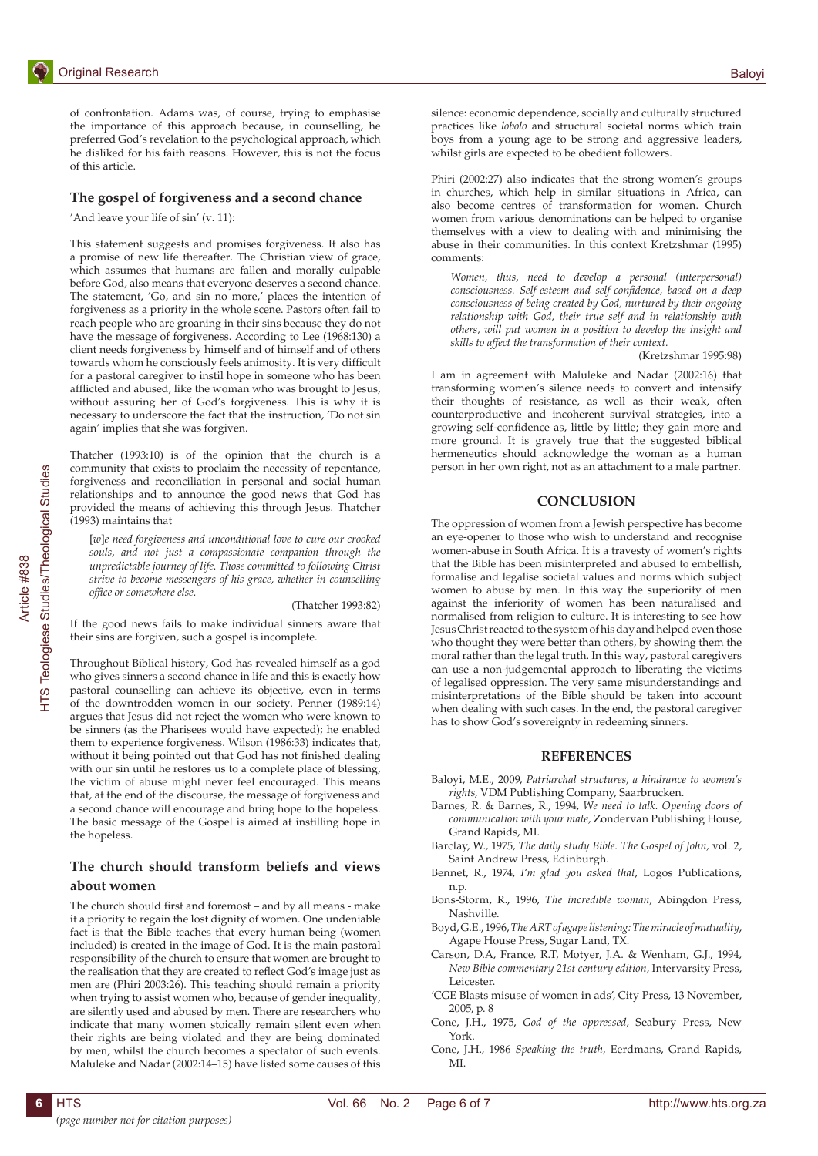## **The gospel of forgiveness and a second chance**

'And leave your life of sin' (v. 11):

This statement suggests and promises forgiveness. It also has a promise of new life thereafter. The Christian view of grace, which assumes that humans are fallen and morally culpable before God, also means that everyone deserves a second chance. The statement, 'Go, and sin no more,' places the intention of forgiveness as a priority in the whole scene. Pastors often fail to reach people who are groaning in their sins because they do not have the message of forgiveness. According to Lee (1968:130) a client needs forgiveness by himself and of himself and of others towards whom he consciously feels animosity. It is very difficult for a pastoral caregiver to instil hope in someone who has been afflicted and abused, like the woman who was brought to Jesus, without assuring her of God's forgiveness. This is why it is necessary to underscore the fact that the instruction, 'Do not sin again' implies that she was forgiven.

Thatcher (1993:10) is of the opinion that the church is a community that exists to proclaim the necessity of repentance, forgiveness and reconciliation in personal and social human relationships and to announce the good news that God has provided the means of achieving this through Jesus. Thatcher (1993) maintains that

[*w*]*e need forgiveness and unconditional love to cure our crooked souls, and not just a compassionate companion through the unpredictable journey of life. Those committed to following Christ strive to become messengers of his grace, whether in counselling office or somewhere else.*

#### (Thatcher 1993:82)

If the good news fails to make individual sinners aware that their sins are forgiven, such a gospel is incomplete.

Throughout Biblical history, God has revealed himself as a god who gives sinners a second chance in life and this is exactly how pastoral counselling can achieve its objective, even in terms of the downtrodden women in our society. Penner (1989:14) argues that Jesus did not reject the women who were known to be sinners (as the Pharisees would have expected); he enabled them to experience forgiveness. Wilson (1986:33) indicates that, without it being pointed out that God has not finished dealing with our sin until he restores us to a complete place of blessing, the victim of abuse might never feel encouraged. This means that, at the end of the discourse, the message of forgiveness and a second chance will encourage and bring hope to the hopeless. The basic message of the Gospel is aimed at instilling hope in the hopeless.

## **The church should transform beliefs and views about women**

The church should first and foremost – and by all means - make it a priority to regain the lost dignity of women. One undeniable fact is that the Bible teaches that every human being (women included) is created in the image of God. It is the main pastoral responsibility of the church to ensure that women are brought to the realisation that they are created to reflect God's image just as men are (Phiri 2003:26). This teaching should remain a priority when trying to assist women who, because of gender inequality, are silently used and abused by men. There are researchers who indicate that many women stoically remain silent even when their rights are being violated and they are being dominated by men, whilst the church becomes a spectator of such events. Maluleke and Nadar (2002:14–15) have listed some causes of this silence: economic dependence, socially and culturally structured practices like *lobolo* and structural societal norms which train boys from a young age to be strong and aggressive leaders, whilst girls are expected to be obedient followers.

Phiri (2002:27) also indicates that the strong women's groups in churches, which help in similar situations in Africa, can also become centres of transformation for women. Church women from various denominations can be helped to organise themselves with a view to dealing with and minimising the abuse in their communities. In this context Kretzshmar (1995) comments:

*Women, thus, need to develop a personal (interpersonal) consciousness. Self-esteem and self-confidence, based on a deep consciousness of being created by God, nurtured by their ongoing relationship with God, their true self and in relationship with others, will put women in a position to develop the insight and skills to affect the transformation of their context.*

(Kretzshmar 1995:98)

I am in agreement with Maluleke and Nadar (2002:16) that transforming women's silence needs to convert and intensify their thoughts of resistance, as well as their weak, often counterproductive and incoherent survival strategies, into a growing self-confidence as, little by little; they gain more and more ground. It is gravely true that the suggested biblical hermeneutics should acknowledge the woman as a human person in her own right, not as an attachment to a male partner.

#### **CONCLUSION**

The oppression of women from a Jewish perspective has become an eye-opener to those who wish to understand and recognise women-abuse in South Africa. It is a travesty of women's rights that the Bible has been misinterpreted and abused to embellish, formalise and legalise societal values and norms which subject women to abuse by men. In this way the superiority of men against the inferiority of women has been naturalised and normalised from religion to culture. It is interesting to see how Jesus Christ reacted to the system of his day and helped even those who thought they were better than others, by showing them the moral rather than the legal truth. In this way, pastoral caregivers can use a non-judgemental approach to liberating the victims of legalised oppression. The very same misunderstandings and misinterpretations of the Bible should be taken into account when dealing with such cases. In the end, the pastoral caregiver has to show God's sovereignty in redeeming sinners.

#### **REFERENCES**

- Baloyi, M.E., 2009, *Patriarchal structures, a hindrance to women's rights*, VDM Publishing Company, Saarbrucken.
- Barnes, R. & Barnes, R., 1994, *We need to talk. Opening doors of communication with your mate,* Zondervan Publishing House, Grand Rapids, MI.
- Barclay, W., 1975, *The daily study Bible. The Gospel of John,* vol. 2, Saint Andrew Press, Edinburgh.
- Bennet, R., 1974, *I'm glad you asked that*, Logos Publications, n.p.
- Bons-Storm, R., 1996, *The incredible woman*, Abingdon Press, Nashville.
- Boyd, G.E., 1996, *The ART of agape listening: The miracle of mutuality*, Agape House Press, Sugar Land, TX.
- Carson, D.A, France, R.T, Motyer, J.A. & Wenham, G.J., 1994, *New Bible commentary 21st century edition*, Intervarsity Press, Leicester.
- 'CGE Blasts misuse of women in ads', City Press, 13 November, 2005, p. 8
- Cone, J.H., 1975, *God of the oppressed*, Seabury Press, New York.
- Cone, J.H., 1986 *Speaking the truth*, Eerdmans, Grand Rapids, MI.